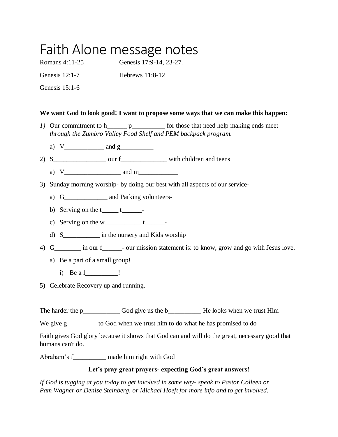# Faith Alone message notes

Romans 4:11-25 Genesis 17:9-14, 23-27.

Genesis 12:1-7 Hebrews 11:8-12

Genesis 15:1-6

### **We want God to look good! I want to propose some ways that we can make this happen:**

- *1)* Our commitment to h\_\_\_\_\_\_\_ p\_\_\_\_\_\_\_\_\_\_\_\_\_ for those that need help making ends meet *through the Zumbro Valley Food Shelf and PEM backpack program.* 
	- a)  $V_{\perp}$  and  $g_{\perp}$
- 2) S\_\_\_\_\_\_\_\_\_\_\_\_\_\_\_\_ our f\_\_\_\_\_\_\_\_\_\_\_\_\_\_ with children and teens
	- a) V\_\_\_\_\_\_\_\_\_\_\_\_\_\_\_\_\_ and m\_\_\_\_\_\_\_\_\_\_\_\_
- 3) Sunday morning worship- by doing our best with all aspects of our service
	- a) G \_\_\_\_\_\_\_\_\_\_ and Parking volunteers-
	- b) Serving on the  $t_{\text{max}}t_{\text{max}}$
	- c) Serving on the  $w_$   $t_$
	- d) S\_\_\_\_\_\_\_\_\_\_\_ in the nursery and Kids worship
- 4) G\_\_\_\_\_\_\_ in our f\_\_\_\_\_\_- our mission statement is: to know, grow and go with Jesus love.
	- a) Be a part of a small group!
		- i) Be a l\_\_\_\_\_\_\_\_\_\_\_ !
- 5) Celebrate Recovery up and running.

The harder the p\_\_\_\_\_\_\_\_\_\_\_\_\_\_\_\_\_\_\_ God give us the b\_\_\_\_\_\_\_\_\_\_\_\_\_\_\_\_\_\_\_\_\_He looks when we trust Him

We give g\_\_\_\_\_\_\_\_\_ to God when we trust him to do what he has promised to do

Faith gives God glory because it shows that God can and will do the great, necessary good that humans can't do.

Abraham's f\_\_\_\_\_\_\_\_\_\_ made him right with God

### **Let's pray great prayers- expecting God's great answers!**

*If God is tugging at you today to get involved in some way- speak to Pastor Colleen or Pam Wagner or Denise Steinberg, or Michael Hoeft for more info and to get involved.*